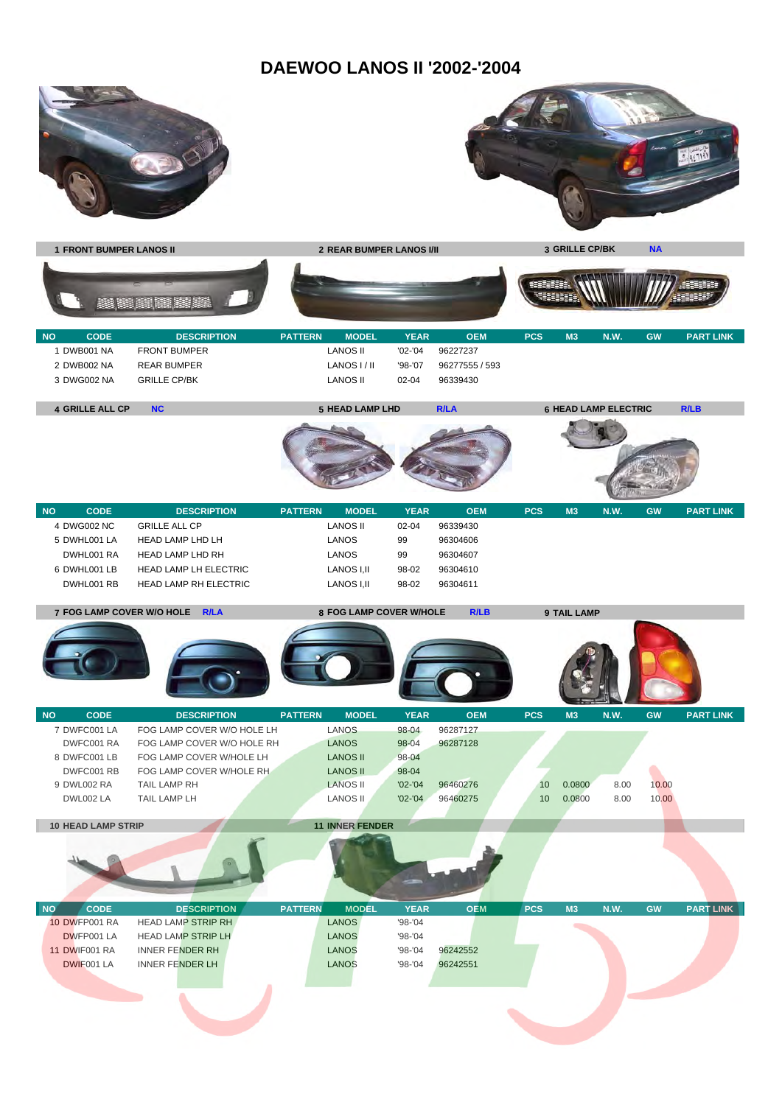### **DAEWOO LANOS II '2002-'2004**





**1 FRONT BUMPER LANOS II 2 REAR BUMPER LANOS I/II 3 GRILLE CP/BK NA ASSESS** 199999 8888 83 83 53 53 **NO CODE DESCRIPTION PATTERN MODEL YEAR OEM PCS M3 N.W. GW PART LINK** 1 DWB001 NA FRONT BUMPER LANOS II '02-'04 96227237 2 DWB002 NA REAR BUMPER LANOS I / II '98-'07 96277555 / 593 3 DWG002 NA GRILLE CP/BK LANOS II 02-04 96339430 **4 GRILLE ALL CP NC 5 HEAD LAMP LHD R/LA 6 HEAD LAMP ELECTRIC R/LB NO CODE DESCRIPTION PATTERN MODEL YEAR OEM PCS M3 N.W. GW PART LINK** 4 DWG002 NC GRILLE ALL CP LANOS II 02-04 96339430 5 DWHL001 LA HEAD LAMP LHD LH LANOS 99 96304606 DWHI001 RA HEAD LAMP LHD RH LANOS 99 96304607 6 DWHL001 LB HEAD LAMP LH ELECTRIC LANOS I,II 98-02 96304610 DWHL001 RB HEAD LAMP RH ELECTRIC LANOS I,II 98-02 96304611 **7 FOG LAMP COVER W/O HOLE R/LA 8 FOG LAMP COVER W/HOLE R/LB 9 TAIL LAMP NO CODE DESCRIPTION PATTERN MODEL YEAR OEM PCS M3 N.W. GW PART LINK** 7 DWFC001 LA FOG LAMP COVER W/O HOLE LH LANOS 98-04 96287127 DWFC001 RA FOG LAMP COVER W/O HOLE RH LANOS 98-04 96287128 8 DWFC001 LB FOG LAMP COVER W/HOLE LH LANOS II 98-04 DWFC001 RB FOG LAMP COVER W/HOLE RH LANOS II 98-04 9 DWL002 RA TAIL LAMP RH LANOS II '02-'04 96460276 10 0.0800 8.00 10.00 DWL002 LA TAIL LAMP LH LANOS II '02-'04 96460275 10 0.0800 8.00 10.00 **10 HEAD LAMP STRIP 11 INNER FENDER NO CODE DESCRIPTION PATTERN MODEL YEAR OEM PCS M3 N.W. GW PART LINK** 10 DWFP001 RA HEAD LAMP STRIP RH LANOS 198-'04 DWFP001 LA HEAD LAMP STRIP LH LANOS 198-'04 11 DWIF001 RA INNER FENDER RH LANOS '98-'04 96242552 DWIF001 LA INNER FENDER LH LANOS '98-'04 96242551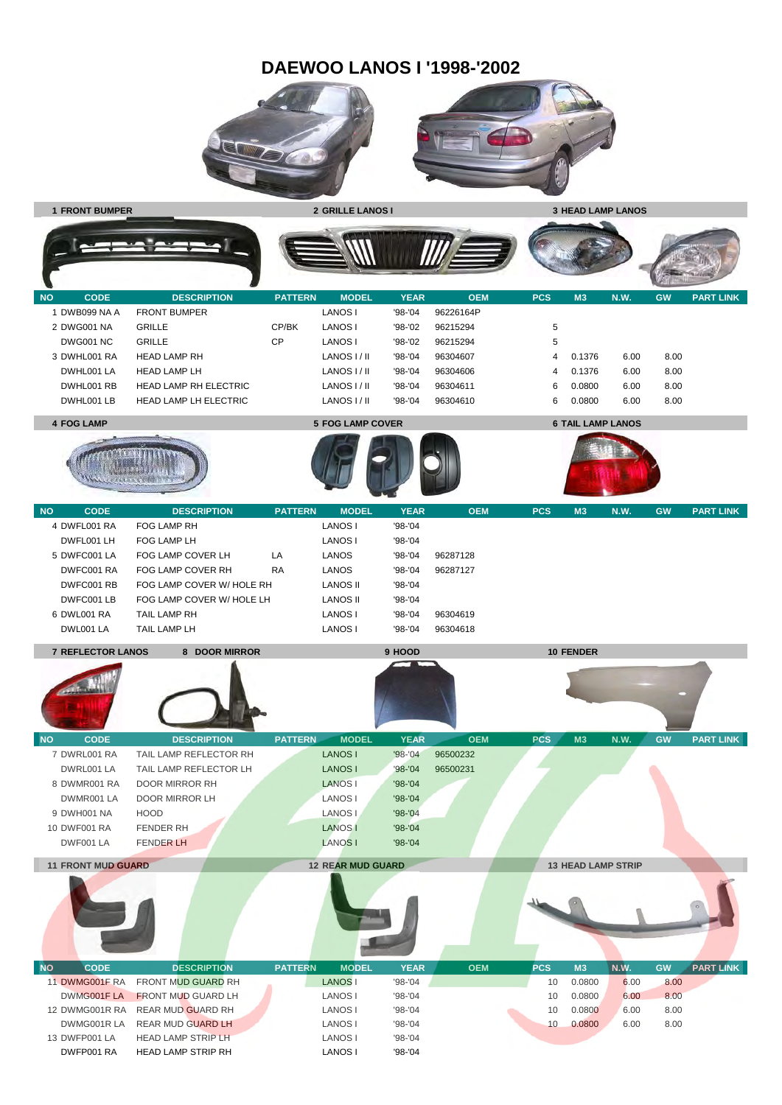### **DAEWOO LANOS I '1998-'2002**





**1 FRONT BUMPER 2 GRILLE LANOS I 3 HEAD LAMP LANOS**



| <b>NO</b> | <b>CODE</b>  | <b>DESCRIPTION</b>           | <b>PATTERN</b> | <b>MODEL</b> | YEAR        | <b>OEM</b> | PCS | M <sub>3</sub> | <b>N.W.</b> | <b>GW</b> | <b>PART LINK</b> |
|-----------|--------------|------------------------------|----------------|--------------|-------------|------------|-----|----------------|-------------|-----------|------------------|
|           | DWB099 NA A  | <b>FRONT BUMPER</b>          |                | LANOS I      | '98-'04     | 96226164P  |     |                |             |           |                  |
|           | 2 DWG001 NA  | <b>GRILLE</b>                | CP/BK          | LANOS I      | '98-'02     | 96215294   | 5   |                |             |           |                  |
|           | DWG001 NC    | <b>GRILLE</b>                | СP             | LANOS I      | '98-'02     | 96215294   | 5   |                |             |           |                  |
|           | 3 DWHL001 RA | <b>HEAD LAMP RH</b>          |                | LANOS I / II | '98-'04     | 96304607   | 4   | 0.1376         | 6.00        | 8.00      |                  |
|           | DWHL001 LA   | <b>HEAD LAMP LH</b>          |                | LANOS I / II | $'98 - '04$ | 96304606   | 4   | 0.1376         | 6.00        | 8.00      |                  |
|           | DWHL001 RB   | HEAD LAMP RH ELECTRIC        |                | LANOS I / II | $'98 - '04$ | 96304611   | 6.  | 0.0800         | 6.00        | 8.00      |                  |
|           | DWHL001 LB   | <b>HEAD LAMP LH ELECTRIC</b> |                | LANOS I / II | '98-'04     | 96304610   | 6.  | 0.0800         | 6.00        | 8.00      |                  |









| <b>NO</b> | <b>CODE</b>  | <b>DESCRIPTION</b>        | <b>PATTERN</b> | <b>MODEL</b> | <b>YEAR</b> | <b>OEM</b> | <b>PCS</b> | M <sub>3</sub> | <b>N.W.</b> | <b>GW</b> | <b>PART LINK</b> |
|-----------|--------------|---------------------------|----------------|--------------|-------------|------------|------------|----------------|-------------|-----------|------------------|
|           | 4 DWFL001 RA | FOG LAMP RH               |                | LANOS I      | '98-'04     |            |            |                |             |           |                  |
|           | DWFL001 LH   | FOG LAMP LH               |                | LANOS I      | $98 - 04$   |            |            |                |             |           |                  |
|           | 5 DWFC001 LA | FOG LAMP COVER LH         | LA             | LANOS        | $'98 - '04$ | 96287128   |            |                |             |           |                  |
|           | DWFC001 RA   | FOG LAMP COVER RH         | <b>RA</b>      | LANOS        | '98-'04     | 96287127   |            |                |             |           |                  |
|           | DWFC001 RB   | FOG LAMP COVER W/ HOLE RH |                | LANOS II     | '98-'04     |            |            |                |             |           |                  |
|           | DWFC001 LB   | FOG LAMP COVER W/ HOLE LH |                | LANOS II     | $'98 - '04$ |            |            |                |             |           |                  |
|           | 6 DWL001 RA  | TAIL LAMP RH              |                | LANOS I      | '98-'04     | 96304619   |            |                |             |           |                  |
|           | DWL001 LA    | TAIL LAMP LH              |                | LANOS I      | $98 - 04$   | 96304618   |            |                |             |           |                  |

**7 REFLECTOR LANOS 8 DOOR MIRROR 9 HOOD 10 FENDER**

13 DWFP001 LA HEAD LAMP STRIP LH LANOS I '98-'04 DWFP001 RA HEAD LAMP STRIP RH LANOS I '98-'04

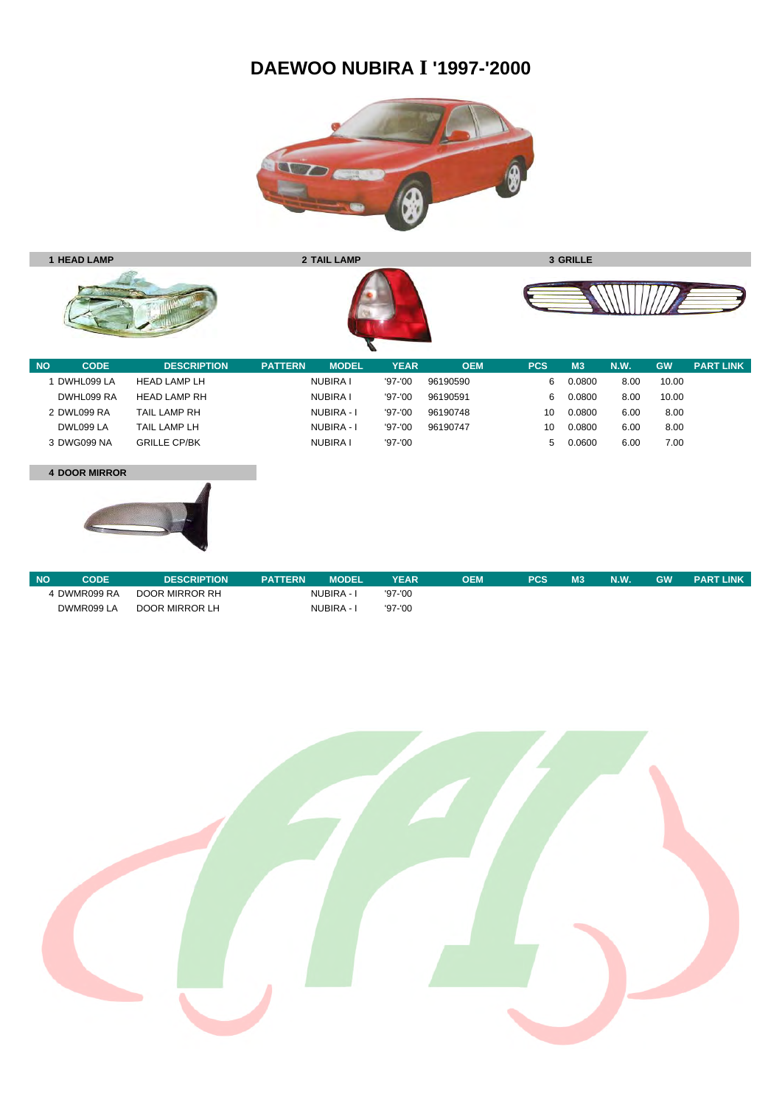# **DAEWOO NUBIRA I '1997-'2000**





| DWHL099 LA  | <b>HEAD LAMP LH</b> | NUBIRA I        | $'97 - '00$ | 96190590 | 6      | 0.0800 | 8.00 | 10.00 |
|-------------|---------------------|-----------------|-------------|----------|--------|--------|------|-------|
| DWHL099 RA  | HEAD LAMP RH        | NUBIRA I        | $'97 - '00$ | 96190591 | 6      | 0.0800 | 8.00 | 10.00 |
| 2 DWL099 RA | TAIL LAMP RH        | NUBIRA - I      | $'97 - '00$ | 96190748 | 10     | 0.0800 | 6.00 | 8.00  |
| DWL099 LA   | TAIL LAMP LH        | NUBIRA - I      | $'97 - '00$ | 96190747 | 10     | 0.0800 | 6.00 | 8.00  |
| 3 DWG099 NA | <b>GRILLE CP/BK</b> | <b>NUBIRA I</b> | $'97 - '00$ |          | $\sim$ | 0.0600 | 6.00 | 7.00  |
|             |                     |                 |             |          |        |        |      |       |

#### **4 DOOR MIRROR**



| <b>NO</b>    | CODE | <b>DESCRIPTION</b> | <b>PATTERN</b> | <b>MODEL</b> | <b>YEAR</b> | ОЕМ | PCS | M <sub>3</sub> | N.W. | <b>GW</b> | <b>PART LINK</b> |
|--------------|------|--------------------|----------------|--------------|-------------|-----|-----|----------------|------|-----------|------------------|
| 4 DWMR099 RA |      | DOOR MIRROR RH     | NUBIRA - I     |              | $'97 - '00$ |     |     |                |      |           |                  |
| DWMR099 LA   |      | DOOR MIRROR LH     | NUBIRA - I     |              | $'97 - '00$ |     |     |                |      |           |                  |

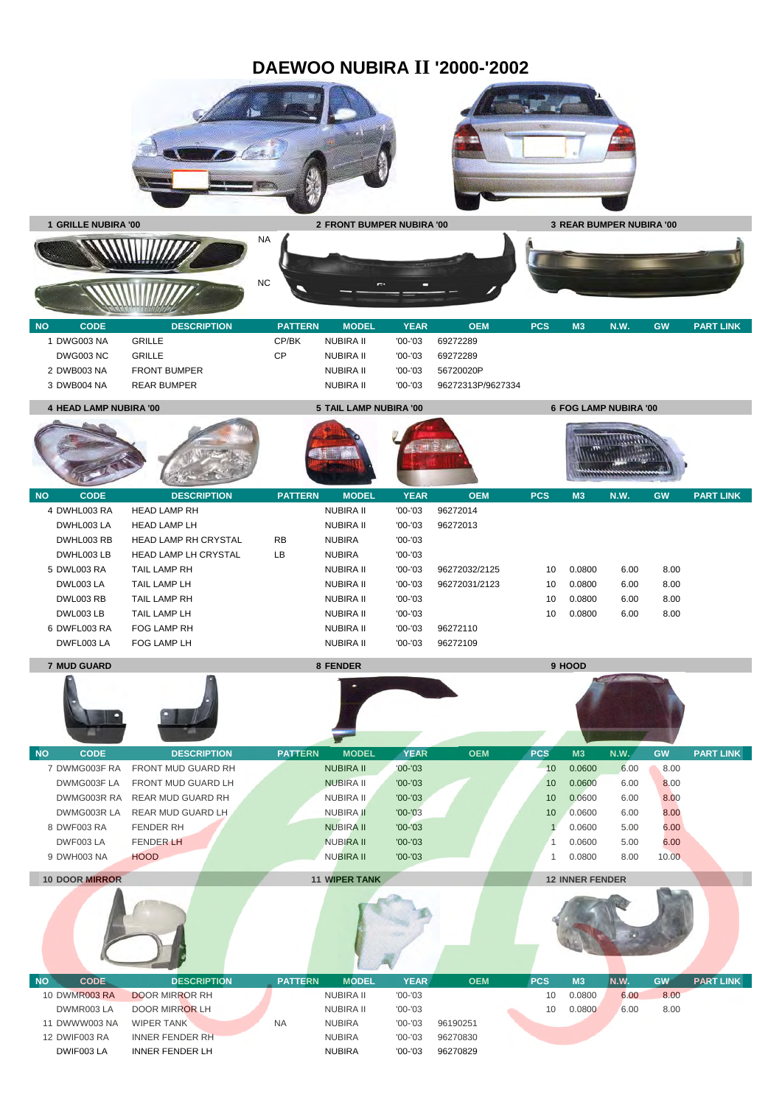## **DAEWOO NUBIRA II '2000-'2002**





**MATHEMATICS STANDARD** 



| DWG003 NA        | GRILLE              | CP/BK | NUBIRA II | $'00-'03$ | 69272289          |
|------------------|---------------------|-------|-----------|-----------|-------------------|
| <b>DWG003 NC</b> | GRILLE              | СP    | NUBIRA II | $'00-'03$ | 69272289          |
| 2 DWB003 NA      | <b>FRONT BUMPER</b> |       | NUBIRA II | $'00-'03$ | 56720020P         |
| 3 DWB004 NA      | <b>REAR BUMPER</b>  |       | NUBIRA II | $'00-'03$ | 96272313P/9627334 |

**4 HEAD LAMP NUBIRA '00 5 TAIL LAMP NUBIRA '00 6 FOG LAMP NUBIRA '00**



| <b>START COMPANY</b><br>the first property and the con- |              |                             |                |                  |             |               |            |                |             |           |                  |  |
|---------------------------------------------------------|--------------|-----------------------------|----------------|------------------|-------------|---------------|------------|----------------|-------------|-----------|------------------|--|
| <b>NO</b>                                               | <b>CODE</b>  | <b>DESCRIPTION</b>          | <b>PATTERN</b> | <b>MODEL</b>     | <b>YEAR</b> | <b>OEM</b>    | <b>PCS</b> | M <sub>3</sub> | <b>N.W.</b> | <b>GW</b> | <b>PART LINK</b> |  |
|                                                         | 4 DWHL003 RA | <b>HEAD LAMP RH</b>         |                | <b>NUBIRA II</b> | $'00-'03$   | 96272014      |            |                |             |           |                  |  |
|                                                         | DWHL003 LA   | <b>HEAD LAMP LH</b>         |                | <b>NUBIRA II</b> | $'00-'03$   | 96272013      |            |                |             |           |                  |  |
|                                                         | DWHL003 RB   | <b>HEAD LAMP RH CRYSTAL</b> | <b>RB</b>      | <b>NUBIRA</b>    | $'00-'03$   |               |            |                |             |           |                  |  |
|                                                         | DWHL003 LB   | <b>HEAD LAMP LH CRYSTAL</b> | LB             | <b>NUBIRA</b>    | $'00 - '03$ |               |            |                |             |           |                  |  |
|                                                         | 5 DWL003 RA  | <b>TAIL LAMP RH</b>         |                | NUBIRA II        | $'00-'03$   | 96272032/2125 | 10         | 0.0800         | 6.00        | 8.00      |                  |  |
|                                                         | DWL003 LA    | TAIL LAMP LH                |                | NUBIRA II        | $'00-'03$   | 96272031/2123 | 10         | 0.0800         | 6.00        | 8.00      |                  |  |
|                                                         | DWL003 RB    | TAIL LAMP RH                |                | <b>NUBIRA II</b> | $'00-'03$   |               | 10         | 0.0800         | 6.00        | 8.00      |                  |  |
|                                                         | DWL003LB     | TAIL LAMP LH                |                | NUBIRA II        | $'00-'03$   |               | 10         | 0.0800         | 6.00        | 8.00      |                  |  |
|                                                         | 6 DWFL003 RA | FOG LAMP RH                 |                | <b>NUBIRA II</b> | $'00-'03$   | 96272110      |            |                |             |           |                  |  |
|                                                         | DWFL003 LA   | FOG LAMP LH                 |                | <b>NUBIRA II</b> | $'00-'03$   | 96272109      |            |                |             |           |                  |  |